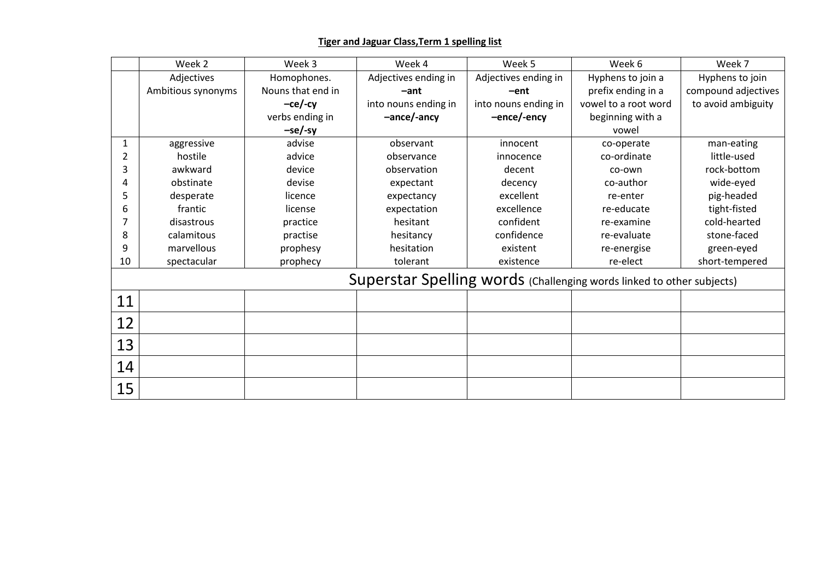## **Tiger and Jaguar Class,Term 1 spelling list**

|                                                                       | Week 2             | Week 3            | Week 4               | Week 5               | Week 6               | Week 7              |  |  |  |
|-----------------------------------------------------------------------|--------------------|-------------------|----------------------|----------------------|----------------------|---------------------|--|--|--|
|                                                                       | Adjectives         | Homophones.       | Adjectives ending in | Adjectives ending in | Hyphens to join a    | Hyphens to join     |  |  |  |
|                                                                       | Ambitious synonyms | Nouns that end in | $-ant$               | $-ent$               | prefix ending in a   | compound adjectives |  |  |  |
|                                                                       |                    | $-ce/-cy$         | into nouns ending in | into nouns ending in | vowel to a root word | to avoid ambiguity  |  |  |  |
|                                                                       |                    | verbs ending in   | -ance/-ancy          | -ence/-ency          | beginning with a     |                     |  |  |  |
|                                                                       |                    | -se/-sy           |                      |                      | vowel                |                     |  |  |  |
| $\mathbf{1}$                                                          | aggressive         | advise            | observant            | innocent             | co-operate           | man-eating          |  |  |  |
| 2                                                                     | hostile            | advice            | observance           | innocence            | co-ordinate          | little-used         |  |  |  |
| 3                                                                     | awkward            | device            | observation          | decent               | co-own               | rock-bottom         |  |  |  |
| 4                                                                     | obstinate          | devise            | expectant            | decency              | co-author            | wide-eyed           |  |  |  |
| 5                                                                     | desperate          | licence           | expectancy           | excellent            | re-enter             | pig-headed          |  |  |  |
| 6                                                                     | frantic            | license           | expectation          | excellence           | re-educate           | tight-fisted        |  |  |  |
| 7                                                                     | disastrous         | practice          | hesitant             | confident            | re-examine           | cold-hearted        |  |  |  |
| 8                                                                     | calamitous         | practise          | hesitancy            | confidence           | re-evaluate          | stone-faced         |  |  |  |
| 9                                                                     | marvellous         | prophesy          | hesitation           | existent             | re-energise          | green-eyed          |  |  |  |
| 10                                                                    | spectacular        | prophecy          | tolerant             | existence            | re-elect             | short-tempered      |  |  |  |
| Superstar Spelling words (Challenging words linked to other subjects) |                    |                   |                      |                      |                      |                     |  |  |  |
| 11                                                                    |                    |                   |                      |                      |                      |                     |  |  |  |
| 12                                                                    |                    |                   |                      |                      |                      |                     |  |  |  |
| 13                                                                    |                    |                   |                      |                      |                      |                     |  |  |  |
| 14                                                                    |                    |                   |                      |                      |                      |                     |  |  |  |
|                                                                       |                    |                   |                      |                      |                      |                     |  |  |  |
| 15                                                                    |                    |                   |                      |                      |                      |                     |  |  |  |